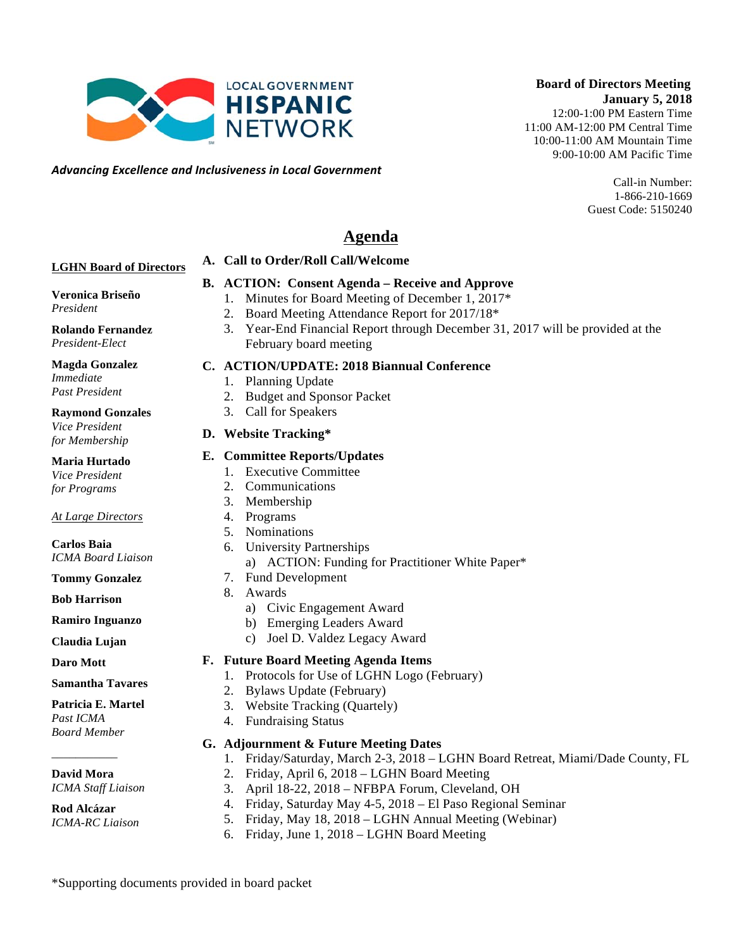*Advancing)Excellence)and)Inclusiveness)in)Local)Government*

#### **Board of Directors Meeting January 5, 2018** 12:00-1:00 PM Eastern Time 11:00 AM-12:00 PM Central Time 10:00-11:00 AM Mountain Time

9:00-10:00 AM Pacific Time

Call-in Number: 1-866-210-1669 Guest Code: 5150240

# **Agenda**

#### **LGHN Board of Directors**

#### **B. ACTION: Consent Agenda – Receive and Approve**

**Veronica Briseño**

#### *President*

**Rolando Fernandez** *President-Elect*

**Magda Gonzalez** *Immediate Past President*

#### **Raymond Gonzales**

*Vice President for Membership*

**Maria Hurtado**

*Vice President for Programs*

#### *At Large Directors*

**Carlos Baia** *ICMA Board Liaison*

**Tommy Gonzalez**

**Bob Harrison**

**Ramiro Inguanzo**

**Claudia Lujan**

#### **Daro Mott**

#### **Samantha Tavares**

#### **Patricia E. Martel**

*Past ICMA Board Member*

#### \_\_\_\_\_\_\_\_\_\_\_ **David Mora**

*ICMA Staff Liaison*

#### **Rod Alcázar** *ICMA-RC Liaison*

- 1. Minutes for Board Meeting of December 1, 2017\* 2. Board Meeting Attendance Report for 2017/18\*
	- 3. Year-End Financial Report through December 31, 2017 will be provided at the February board meeting

#### **C. ACTION/UPDATE: 2018 Biannual Conference**

- 1. Planning Update
- 2. Budget and Sponsor Packet

**A. Call to Order/Roll Call/Welcome** 

3. Call for Speakers

#### **D. Website Tracking\***

#### **E. Committee Reports/Updates**

- 1. Executive Committee
- 2. Communications
- 3. Membership
- 4. Programs
- 5. Nominations
- 6. University Partnerships
	- a) ACTION: Funding for Practitioner White Paper\*
- 7. Fund Development
- 8. Awards
	- a) Civic Engagement Award
	- b) Emerging Leaders Award
	- c) Joel D. Valdez Legacy Award

#### **F. Future Board Meeting Agenda Items**

- 1. Protocols for Use of LGHN Logo (February)
- 2. Bylaws Update (February)
- 3. Website Tracking (Quartely)
- 4. Fundraising Status

#### **G. Adjournment & Future Meeting Dates**

- 1. Friday/Saturday, March 2-3, 2018 LGHN Board Retreat, Miami/Dade County, FL
- 2. Friday, April 6, 2018 LGHN Board Meeting
- 3. April 18-22, 2018 NFBPA Forum, Cleveland, OH
- 4. Friday, Saturday May 4-5, 2018 El Paso Regional Seminar
- 5. Friday, May 18, 2018 LGHN Annual Meeting (Webinar)
- 6. Friday, June 1, 2018 LGHN Board Meeting

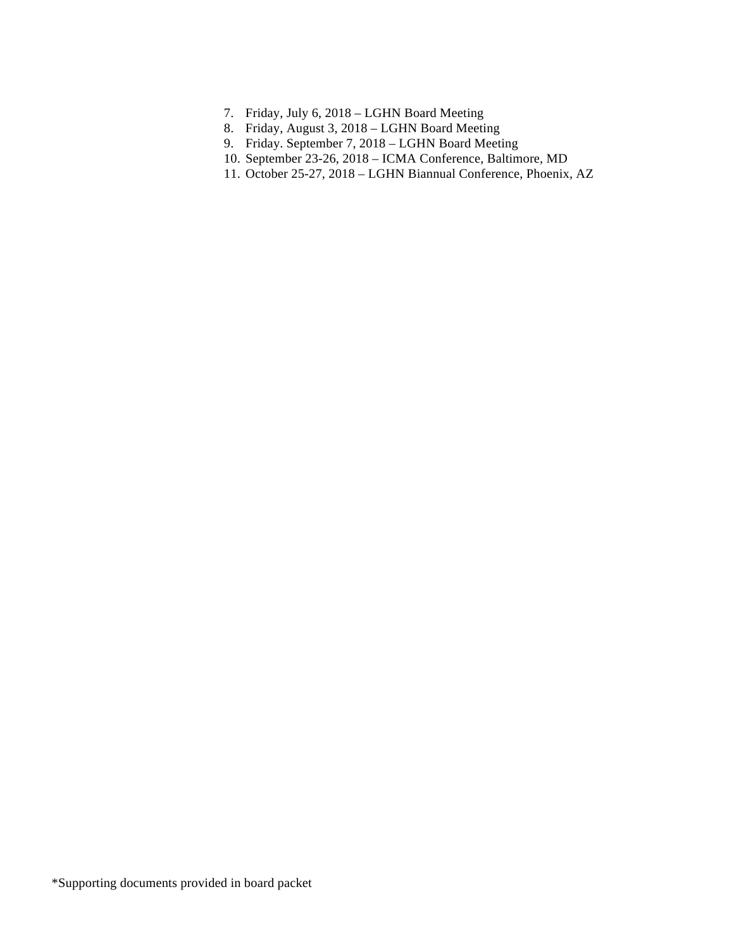- 7. Friday, July 6, 2018 LGHN Board Meeting
- 8. Friday, August 3, 2018 LGHN Board Meeting
- 9. Friday. September 7, 2018 LGHN Board Meeting
- 10. September 23-26, 2018 ICMA Conference, Baltimore, MD
- 11. October 25-27, 2018 LGHN Biannual Conference, Phoenix, AZ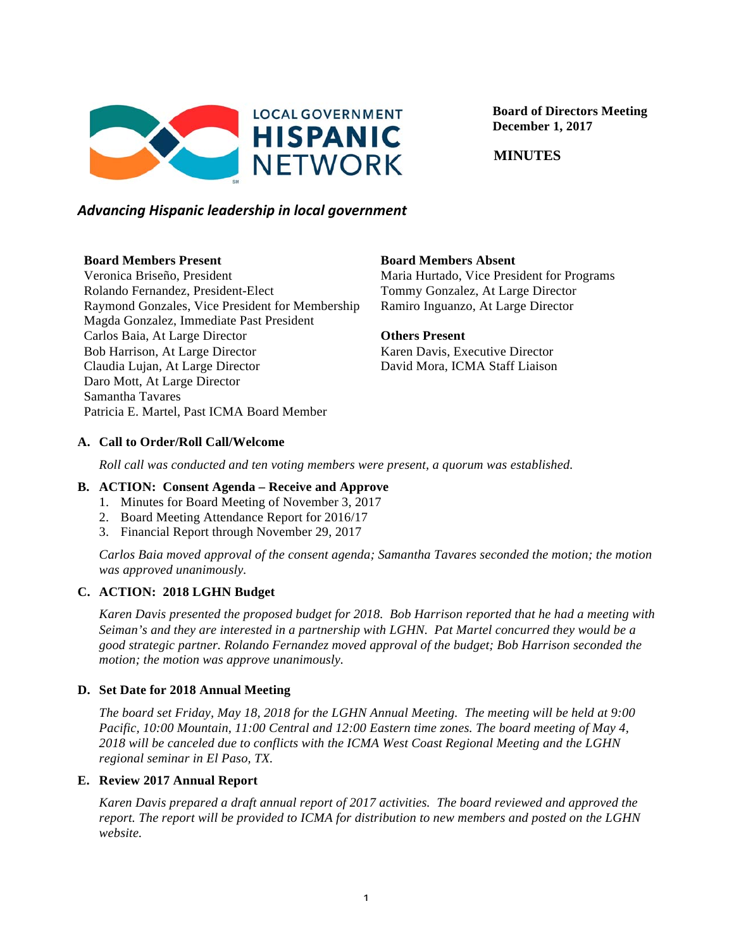

 **Board of Directors Meeting December 1, 2017**

 **MINUTES**

#### *Advancing)Hispanic)leadership)in)local)government*

#### **Board Members Present**

Veronica Briseño, President Rolando Fernandez, President-Elect Raymond Gonzales, Vice President for Membership Magda Gonzalez, Immediate Past President Carlos Baia, At Large Director Bob Harrison, At Large Director Claudia Lujan, At Large Director Daro Mott, At Large Director Samantha Tavares Patricia E. Martel, Past ICMA Board Member

#### **Board Members Absent**

Maria Hurtado, Vice President for Programs Tommy Gonzalez, At Large Director Ramiro Inguanzo, At Large Director

#### **Others Present**

Karen Davis, Executive Director David Mora, ICMA Staff Liaison

#### **A. Call to Order/Roll Call/Welcome**

*Roll call was conducted and ten voting members were present, a quorum was established.*

#### **B. ACTION: Consent Agenda – Receive and Approve**

- 1. Minutes for Board Meeting of November 3, 2017
- 2. Board Meeting Attendance Report for 2016/17
- 3. Financial Report through November 29, 2017

*Carlos Baia moved approval of the consent agenda; Samantha Tavares seconded the motion; the motion was approved unanimously.*

#### **C. ACTION: 2018 LGHN Budget**

*Karen Davis presented the proposed budget for 2018. Bob Harrison reported that he had a meeting with Seiman's and they are interested in a partnership with LGHN. Pat Martel concurred they would be a good strategic partner. Rolando Fernandez moved approval of the budget; Bob Harrison seconded the motion; the motion was approve unanimously.* 

#### **D. Set Date for 2018 Annual Meeting**

*The board set Friday, May 18, 2018 for the LGHN Annual Meeting. The meeting will be held at 9:00 Pacific, 10:00 Mountain, 11:00 Central and 12:00 Eastern time zones. The board meeting of May 4, 2018 will be canceled due to conflicts with the ICMA West Coast Regional Meeting and the LGHN regional seminar in El Paso, TX.*

#### **E. Review 2017 Annual Report**

*Karen Davis prepared a draft annual report of 2017 activities. The board reviewed and approved the report. The report will be provided to ICMA for distribution to new members and posted on the LGHN website.*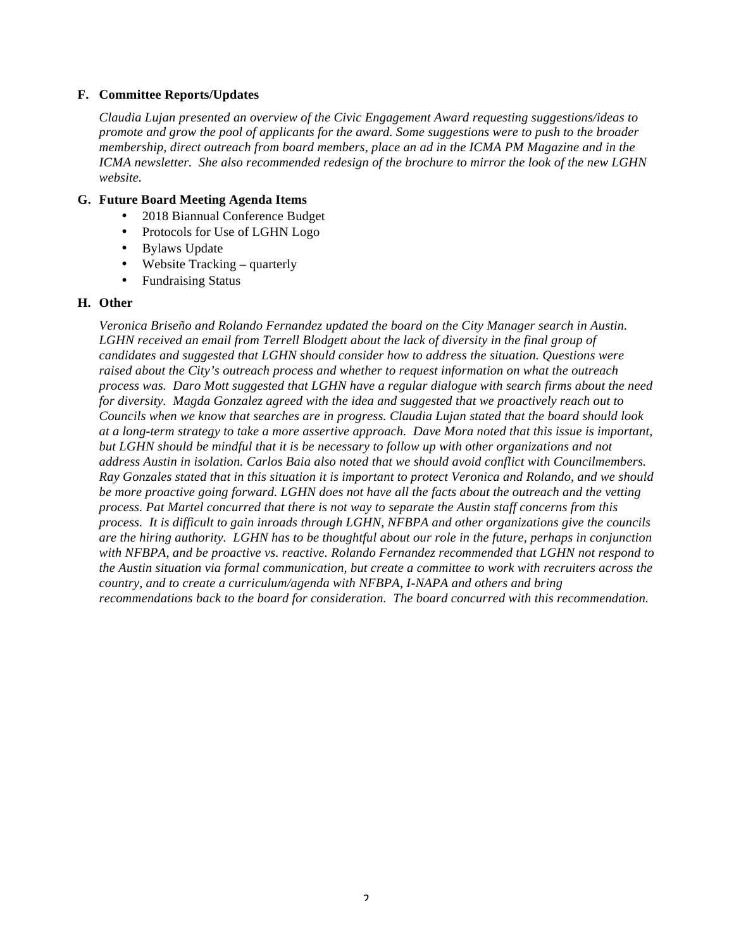#### **F. Committee Reports/Updates**

*Claudia Lujan presented an overview of the Civic Engagement Award requesting suggestions/ideas to promote and grow the pool of applicants for the award. Some suggestions were to push to the broader membership, direct outreach from board members, place an ad in the ICMA PM Magazine and in the ICMA newsletter. She also recommended redesign of the brochure to mirror the look of the new LGHN website.*

#### **G. Future Board Meeting Agenda Items**

- 2018 Biannual Conference Budget
- Protocols for Use of LGHN Logo
- Bylaws Update
- Website Tracking *–* quarterly
- Fundraising Status

#### **H. Other**

*Veronica Briseño and Rolando Fernandez updated the board on the City Manager search in Austin.*  LGHN received an email from Terrell Blodgett about the lack of diversity in the final group of *candidates and suggested that LGHN should consider how to address the situation. Questions were raised about the City's outreach process and whether to request information on what the outreach process was. Daro Mott suggested that LGHN have a regular dialogue with search firms about the need for diversity. Magda Gonzalez agreed with the idea and suggested that we proactively reach out to Councils when we know that searches are in progress. Claudia Lujan stated that the board should look at a long-term strategy to take a more assertive approach. Dave Mora noted that this issue is important, but LGHN should be mindful that it is be necessary to follow up with other organizations and not address Austin in isolation. Carlos Baia also noted that we should avoid conflict with Councilmembers. Ray Gonzales stated that in this situation it is important to protect Veronica and Rolando, and we should be more proactive going forward. LGHN does not have all the facts about the outreach and the vetting process. Pat Martel concurred that there is not way to separate the Austin staff concerns from this process. It is difficult to gain inroads through LGHN, NFBPA and other organizations give the councils are the hiring authority. LGHN has to be thoughtful about our role in the future, perhaps in conjunction with NFBPA, and be proactive vs. reactive. Rolando Fernandez recommended that LGHN not respond to the Austin situation via formal communication, but create a committee to work with recruiters across the country, and to create a curriculum/agenda with NFBPA, I-NAPA and others and bring recommendations back to the board for consideration. The board concurred with this recommendation.*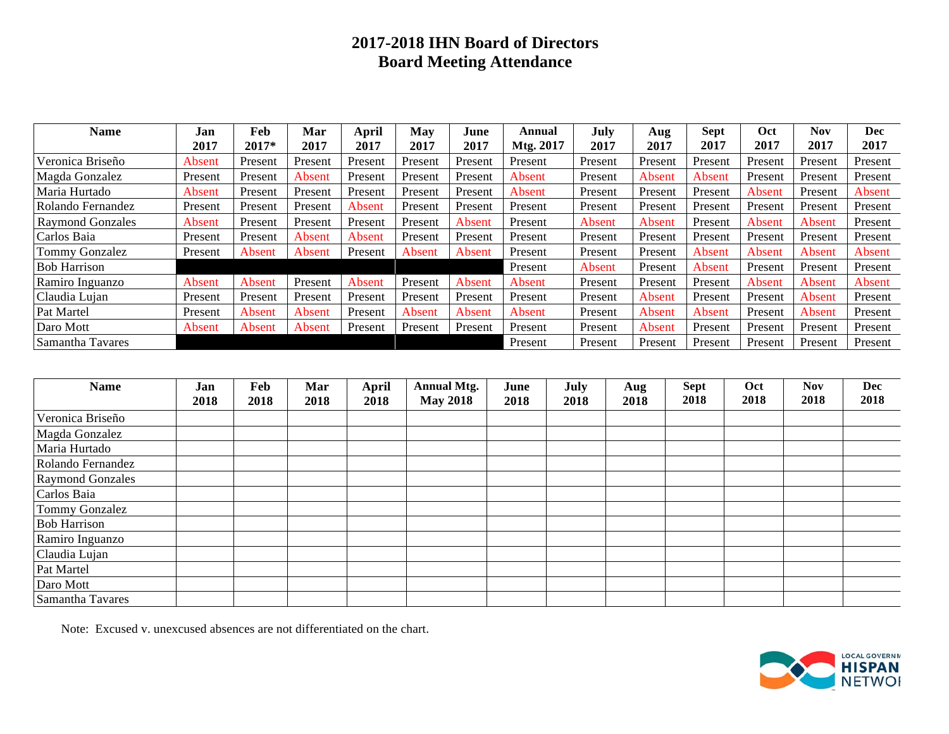# **2017-2018 IHN Board of Directors Board Meeting Attendance**

| Name                    | Jan     | Feb     | Mar     | April   | May     | June    | Annual    | July    | Aug     | <b>Sept</b> | Oct     | Nov     | Dec     |
|-------------------------|---------|---------|---------|---------|---------|---------|-----------|---------|---------|-------------|---------|---------|---------|
|                         | 2017    | 2017*   | 2017    | 2017    | 2017    | 2017    | Mtg. 2017 | 2017    | 2017    | 2017        | 2017    | 2017    | 2017    |
| Veronica Briseño        | Absent  | Present | Present | Present | Present | Present | Present   | Present | Present | Present     | Present | Present | Present |
| Magda Gonzalez          | Present | Present | Absent  | Present | Present | Present | Absent    | Present | Absent  | Absent      | Present | Present | Present |
| Maria Hurtado           | Absent  | Present | Present | Present | Present | Present | Absent    | Present | Present | Present     | Absent  | Present | Absent  |
| Rolando Fernandez       | Present | Present | Present | Absent  | Present | Present | Present   | Present | Present | Present     | Present | Present | Present |
| <b>Raymond Gonzales</b> | Absent  | Present | Present | Present | Present | Absent  | Present   | Absent  | Absent  | Present     | Absent  | Absent  | Present |
| Carlos Baia             | Present | Present | Absent  | Absent  | Present | Present | Present   | Present | Present | Present     | Present | Present | Present |
| Tommy Gonzalez          | Present | Absent  | Absent  | Present | Absent  | Absent  | Present   | Present | Present | Absent      | Absent  | Absent  | Absent  |
| <b>Bob Harrison</b>     |         |         |         |         |         |         | Present   | Absent  | Present | Absent      | Present | Present | Present |
| Ramiro Inguanzo         | Absent  | Absent  | Present | Absent  | Present | Absent  | Absent    | Present | Present | Present     | Absent  | Absent  | Absent  |
| Claudia Lujan           | Present | Present | Present | Present | Present | Present | Present   | Present | Absent  | Present     | Present | Absent  | Present |
| Pat Martel              | Present | Absent  | Absent  | Present | Absent  | Absent  | Absent    | Present | Absent  | Absent      | Present | Absent  | Present |
| Daro Mott               | Absent  | Absent  | Absent  | Present | Present | Present | Present   | Present | Absent  | Present     | Present | Present | Present |
| Samantha Tavares        |         |         |         |         |         |         | Present   | Present | Present | Present     | Present | Present | Present |

| <b>Name</b>             | Jan<br>2018 | Feb<br>2018 | Mar<br>2018 | <b>April</b><br>2018 | <b>Annual Mtg.</b><br><b>May 2018</b> | June<br>2018 | July<br>2018 | Aug<br>2018 | <b>Sept</b><br>2018 | Oct<br>2018 | <b>Nov</b><br>2018 | <b>Dec</b><br>2018 |
|-------------------------|-------------|-------------|-------------|----------------------|---------------------------------------|--------------|--------------|-------------|---------------------|-------------|--------------------|--------------------|
|                         |             |             |             |                      |                                       |              |              |             |                     |             |                    |                    |
| Veronica Briseño        |             |             |             |                      |                                       |              |              |             |                     |             |                    |                    |
| Magda Gonzalez          |             |             |             |                      |                                       |              |              |             |                     |             |                    |                    |
| Maria Hurtado           |             |             |             |                      |                                       |              |              |             |                     |             |                    |                    |
| Rolando Fernandez       |             |             |             |                      |                                       |              |              |             |                     |             |                    |                    |
| <b>Raymond Gonzales</b> |             |             |             |                      |                                       |              |              |             |                     |             |                    |                    |
| Carlos Baia             |             |             |             |                      |                                       |              |              |             |                     |             |                    |                    |
| Tommy Gonzalez          |             |             |             |                      |                                       |              |              |             |                     |             |                    |                    |
| <b>Bob Harrison</b>     |             |             |             |                      |                                       |              |              |             |                     |             |                    |                    |
| Ramiro Inguanzo         |             |             |             |                      |                                       |              |              |             |                     |             |                    |                    |
| Claudia Lujan           |             |             |             |                      |                                       |              |              |             |                     |             |                    |                    |
| Pat Martel              |             |             |             |                      |                                       |              |              |             |                     |             |                    |                    |
| Daro Mott               |             |             |             |                      |                                       |              |              |             |                     |             |                    |                    |
| Samantha Tavares        |             |             |             |                      |                                       |              |              |             |                     |             |                    |                    |

Note: Excused v. unexcused absences are not differentiated on the chart.

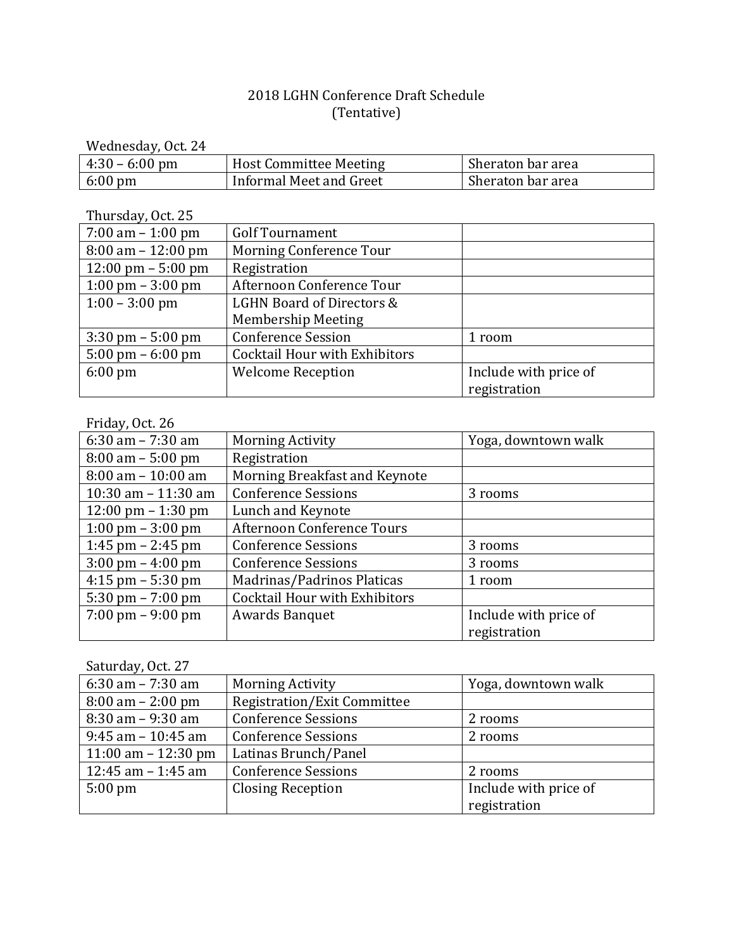### 2018 LGHN Conference Draft Schedule (Tentative)

Wednesday, Oct. 24

| $4:30 - 6:00 \text{ pm}$ | <b>Host Committee Meeting</b> | Sheraton bar area |
|--------------------------|-------------------------------|-------------------|
| $6:00 \text{ pm}$        | Informal Meet and Greet       | Sheraton bar area |

Thursday, Oct. 25

| $7:00 \text{ am} - 1:00 \text{ pm}$  | <b>Golf Tournament</b>               |                       |
|--------------------------------------|--------------------------------------|-----------------------|
| $8:00 \text{ am} - 12:00 \text{ pm}$ | Morning Conference Tour              |                       |
| $12:00 \text{ pm} - 5:00 \text{ pm}$ | Registration                         |                       |
| 1:00 pm $-3:00$ pm                   | Afternoon Conference Tour            |                       |
| $1:00 - 3:00$ pm                     | LGHN Board of Directors &            |                       |
|                                      | <b>Membership Meeting</b>            |                       |
| $3:30 \text{ pm} - 5:00 \text{ pm}$  | <b>Conference Session</b>            | 1 room                |
| $5:00 \text{ pm} - 6:00 \text{ pm}$  | <b>Cocktail Hour with Exhibitors</b> |                       |
| $6:00 \text{ pm}$                    | <b>Welcome Reception</b>             | Include with price of |
|                                      |                                      | registration          |

Friday, Oct. 26

| 6:30 am $- 7:30$ am                  | <b>Morning Activity</b>              | Yoga, downtown walk   |
|--------------------------------------|--------------------------------------|-----------------------|
| $8:00 \text{ am} - 5:00 \text{ pm}$  | Registration                         |                       |
| $8:00$ am $-10:00$ am                | Morning Breakfast and Keynote        |                       |
| 10:30 am $- 11:30$ am                | <b>Conference Sessions</b>           | 3 rooms               |
| $12:00 \text{ pm} - 1:30 \text{ pm}$ | Lunch and Keynote                    |                       |
| $1:00 \text{ pm} - 3:00 \text{ pm}$  | Afternoon Conference Tours           |                       |
| 1:45 pm $-$ 2:45 pm                  | <b>Conference Sessions</b>           | 3 rooms               |
| $3:00 \text{ pm} - 4:00 \text{ pm}$  | <b>Conference Sessions</b>           | 3 rooms               |
| $4:15$ pm $-5:30$ pm                 | Madrinas/Padrinos Platicas           | 1 room                |
| $5:30 \text{ pm} - 7:00 \text{ pm}$  | <b>Cocktail Hour with Exhibitors</b> |                       |
| $7:00 \text{ pm} - 9:00 \text{ pm}$  | <b>Awards Banquet</b>                | Include with price of |
|                                      |                                      | registration          |

Saturday, Oct. 27

| 6:30 am $- 7:30$ am                 | <b>Morning Activity</b>            | Yoga, downtown walk   |
|-------------------------------------|------------------------------------|-----------------------|
| $8:00 \text{ am} - 2:00 \text{ pm}$ | <b>Registration/Exit Committee</b> |                       |
| $8:30$ am $-9:30$ am                | <b>Conference Sessions</b>         | 2 rooms               |
| $9:45$ am $-10:45$ am               | <b>Conference Sessions</b>         | 2 rooms               |
| 11:00 am $-$ 12:30 pm               | Latinas Brunch/Panel               |                       |
| 12:45 am $-$ 1:45 am                | <b>Conference Sessions</b>         | 2 rooms               |
| $5:00 \text{ pm}$                   | <b>Closing Reception</b>           | Include with price of |
|                                     |                                    | registration          |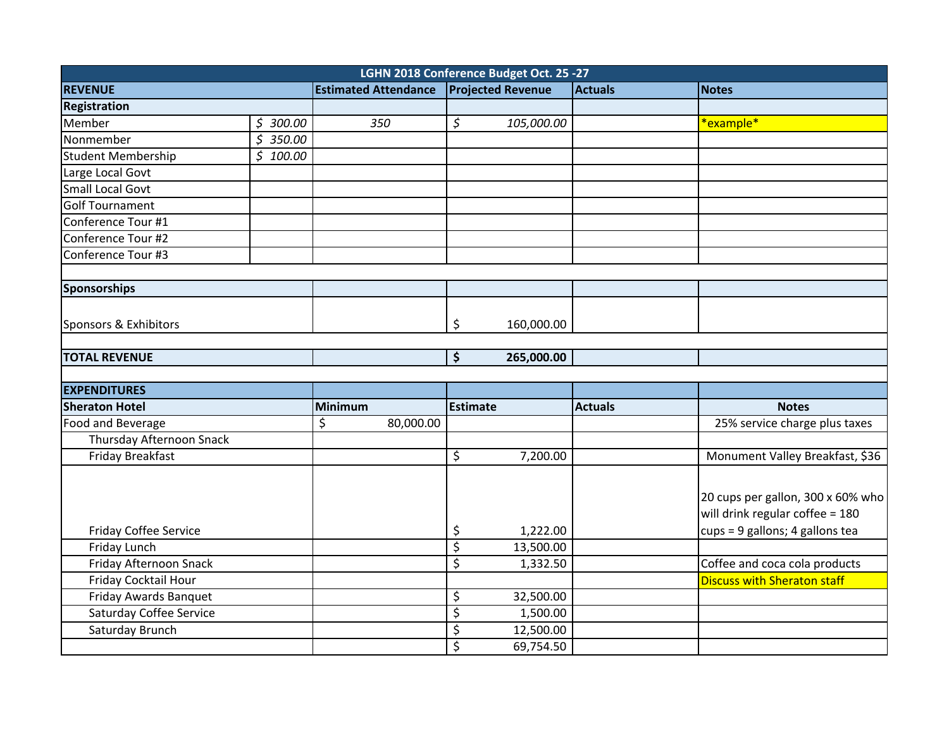|                              |                       |                             | LGHN 2018 Conference Budget Oct. 25 -27 |                |                                    |
|------------------------------|-----------------------|-----------------------------|-----------------------------------------|----------------|------------------------------------|
| <b>REVENUE</b>               |                       | <b>Estimated Attendance</b> | <b>Projected Revenue</b>                | <b>Actuals</b> | Notes                              |
| <b>Registration</b>          |                       |                             |                                         |                |                                    |
| <b>Member</b>                | \$300.00              | 350                         | $\varsigma$<br>105,000.00               |                | *example*                          |
| Nonmember                    | $\overline{5}$ 350.00 |                             |                                         |                |                                    |
| Student Membership           | \$100.00              |                             |                                         |                |                                    |
| Large Local Govt             |                       |                             |                                         |                |                                    |
| <b>Small Local Govt</b>      |                       |                             |                                         |                |                                    |
| Golf Tournament              |                       |                             |                                         |                |                                    |
| Conference Tour #1           |                       |                             |                                         |                |                                    |
| Conference Tour #2           |                       |                             |                                         |                |                                    |
| Conference Tour #3           |                       |                             |                                         |                |                                    |
|                              |                       |                             |                                         |                |                                    |
| Sponsorships                 |                       |                             |                                         |                |                                    |
| Sponsors & Exhibitors        |                       |                             | \$<br>160,000.00                        |                |                                    |
| <b>TOTAL REVENUE</b>         |                       |                             | $\overline{\xi}$<br>265,000.00          |                |                                    |
|                              |                       |                             |                                         |                |                                    |
| <b>EXPENDITURES</b>          |                       |                             |                                         |                |                                    |
| <b>Sheraton Hotel</b>        |                       | Minimum                     | Estimate                                | <b>Actuals</b> | <b>Notes</b>                       |
| Food and Beverage            |                       | \$<br>80,000.00             |                                         |                | 25% service charge plus taxes      |
| Thursday Afternoon Snack     |                       |                             |                                         |                |                                    |
| Friday Breakfast             |                       |                             | \$<br>7,200.00                          |                | Monument Valley Breakfast, \$36    |
|                              |                       |                             |                                         |                | 20 cups per gallon, 300 x 60% who  |
|                              |                       |                             |                                         |                | will drink regular coffee = 180    |
| <b>Friday Coffee Service</b> |                       |                             | \$<br>1,222.00                          |                | cups = 9 gallons; 4 gallons tea    |
| Friday Lunch                 |                       |                             | \$<br>13,500.00                         |                |                                    |
| Friday Afternoon Snack       |                       |                             | \$<br>1,332.50                          |                | Coffee and coca cola products      |
| Friday Cocktail Hour         |                       |                             |                                         |                | <b>Discuss with Sheraton staff</b> |
| Friday Awards Banquet        |                       |                             | \$<br>32,500.00                         |                |                                    |
| Saturday Coffee Service      |                       |                             | $\overline{\varsigma}$<br>1,500.00      |                |                                    |
| Saturday Brunch              |                       |                             | \$<br>12,500.00                         |                |                                    |
|                              |                       |                             | \$<br>69,754.50                         |                |                                    |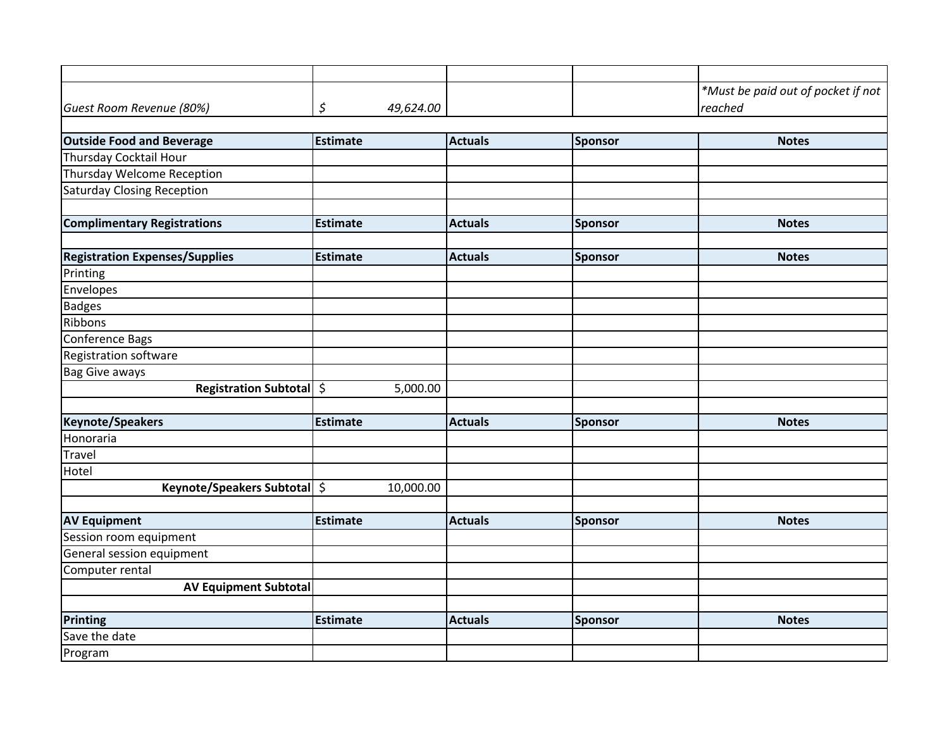|                                       |                 |                |                | *Must be paid out of pocket if not |
|---------------------------------------|-----------------|----------------|----------------|------------------------------------|
| Guest Room Revenue (80%)              | \$<br>49,624.00 |                |                | reached                            |
|                                       |                 |                |                |                                    |
| <b>Outside Food and Beverage</b>      | <b>Estimate</b> | <b>Actuals</b> | Sponsor        | <b>Notes</b>                       |
| Thursday Cocktail Hour                |                 |                |                |                                    |
| Thursday Welcome Reception            |                 |                |                |                                    |
| <b>Saturday Closing Reception</b>     |                 |                |                |                                    |
| <b>Complimentary Registrations</b>    | <b>Estimate</b> | <b>Actuals</b> | <b>Sponsor</b> | <b>Notes</b>                       |
|                                       |                 |                |                |                                    |
| <b>Registration Expenses/Supplies</b> | <b>Estimate</b> | <b>Actuals</b> | Sponsor        | <b>Notes</b>                       |
| Printing                              |                 |                |                |                                    |
| Envelopes                             |                 |                |                |                                    |
| <b>Badges</b>                         |                 |                |                |                                    |
| Ribbons                               |                 |                |                |                                    |
| Conference Bags                       |                 |                |                |                                    |
| Registration software                 |                 |                |                |                                    |
| <b>Bag Give aways</b>                 |                 |                |                |                                    |
| Registration Subtotal \$              | 5,000.00        |                |                |                                    |
|                                       |                 |                |                |                                    |
| Keynote/Speakers                      | <b>Estimate</b> | <b>Actuals</b> | Sponsor        | <b>Notes</b>                       |
| Honoraria                             |                 |                |                |                                    |
| Travel                                |                 |                |                |                                    |
| Hotel                                 |                 |                |                |                                    |
| Keynote/Speakers Subtotal \$          | 10,000.00       |                |                |                                    |
| <b>AV Equipment</b>                   | <b>Estimate</b> | <b>Actuals</b> |                | <b>Notes</b>                       |
| Session room equipment                |                 |                | Sponsor        |                                    |
| General session equipment             |                 |                |                |                                    |
| Computer rental                       |                 |                |                |                                    |
| <b>AV Equipment Subtotal</b>          |                 |                |                |                                    |
|                                       |                 |                |                |                                    |
| Printing                              | Estimate        | <b>Actuals</b> | Sponsor        | <b>Notes</b>                       |
| Save the date                         |                 |                |                |                                    |
| Program                               |                 |                |                |                                    |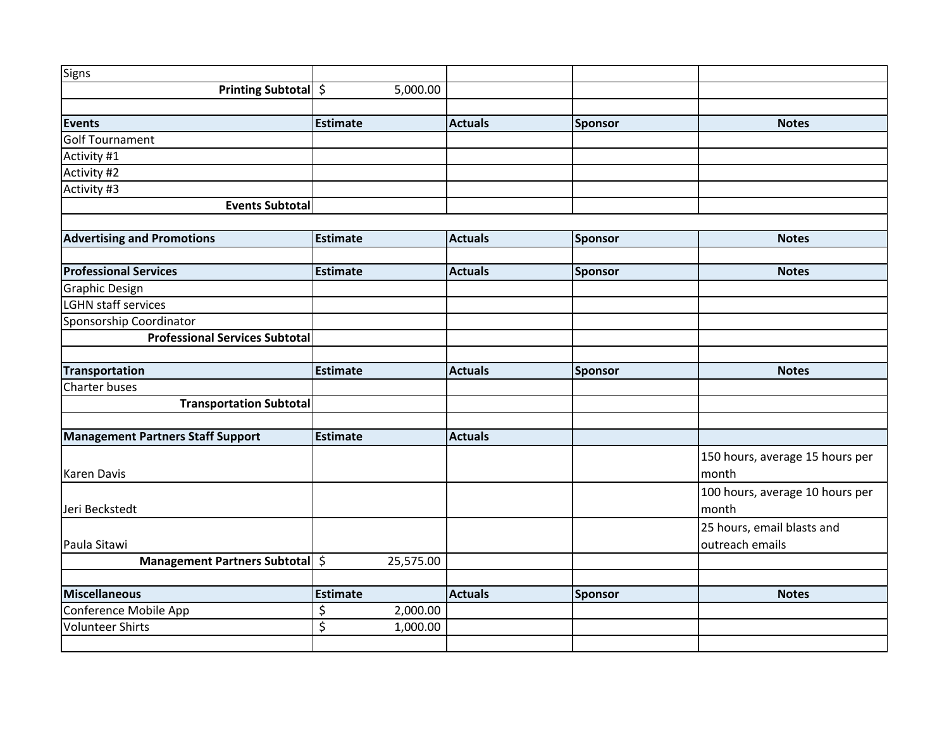| Signs                                            |                                  |                |                |                                          |
|--------------------------------------------------|----------------------------------|----------------|----------------|------------------------------------------|
| Printing Subtotal \$                             | 5,000.00                         |                |                |                                          |
|                                                  |                                  |                |                |                                          |
| Events                                           | <b>Estimate</b>                  | <b>Actuals</b> | Sponsor        | <b>Notes</b>                             |
| Golf Tournament                                  |                                  |                |                |                                          |
| Activity #1                                      |                                  |                |                |                                          |
| Activity #2                                      |                                  |                |                |                                          |
| Activity #3                                      |                                  |                |                |                                          |
| <b>Events Subtotal</b>                           |                                  |                |                |                                          |
|                                                  |                                  |                |                |                                          |
| <b>Advertising and Promotions</b>                | <b>Estimate</b>                  | <b>Actuals</b> | Sponsor        | <b>Notes</b>                             |
|                                                  |                                  |                |                |                                          |
| <b>Professional Services</b>                     | Estimate                         | <b>Actuals</b> | Sponsor        | <b>Notes</b>                             |
| Graphic Design                                   |                                  |                |                |                                          |
| LGHN staff services                              |                                  |                |                |                                          |
| Sponsorship Coordinator                          |                                  |                |                |                                          |
| <b>Professional Services Subtotal</b>            |                                  |                |                |                                          |
|                                                  |                                  |                |                |                                          |
| Transportation                                   | <b>Estimate</b>                  | <b>Actuals</b> | <b>Sponsor</b> | <b>Notes</b>                             |
|                                                  |                                  |                |                |                                          |
| Charter buses                                    |                                  |                |                |                                          |
| <b>Transportation Subtotal</b>                   |                                  |                |                |                                          |
|                                                  |                                  |                |                |                                          |
| <b>Management Partners Staff Support</b>         | Estimate                         | <b>Actuals</b> |                |                                          |
|                                                  |                                  |                |                |                                          |
| Karen Davis                                      |                                  |                |                | 150 hours, average 15 hours per<br>month |
|                                                  |                                  |                |                |                                          |
|                                                  |                                  |                |                | 100 hours, average 10 hours per          |
| Jeri Beckstedt                                   |                                  |                |                | month                                    |
|                                                  |                                  |                |                | 25 hours, email blasts and               |
| Paula Sitawi                                     |                                  |                |                | outreach emails                          |
| Management Partners Subtotal \$                  | 25,575.00                        |                |                |                                          |
| Miscellaneous                                    |                                  |                |                | <b>Notes</b>                             |
|                                                  | <b>Estimate</b>                  | <b>Actuals</b> | Sponsor        |                                          |
| Conference Mobile App<br><b>Volunteer Shirts</b> | \$<br>2,000.00<br>\$<br>1,000.00 |                |                |                                          |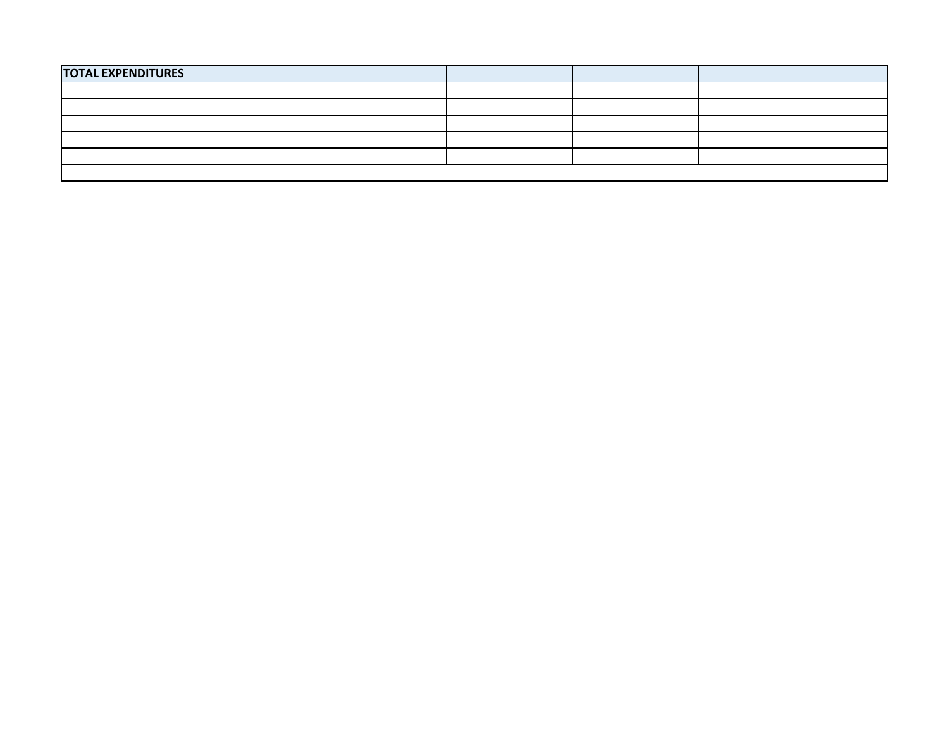| <b>TOTAL EXPENDITURES</b> |  |  |  |  |  |  |
|---------------------------|--|--|--|--|--|--|
|                           |  |  |  |  |  |  |
|                           |  |  |  |  |  |  |
|                           |  |  |  |  |  |  |
|                           |  |  |  |  |  |  |
|                           |  |  |  |  |  |  |
|                           |  |  |  |  |  |  |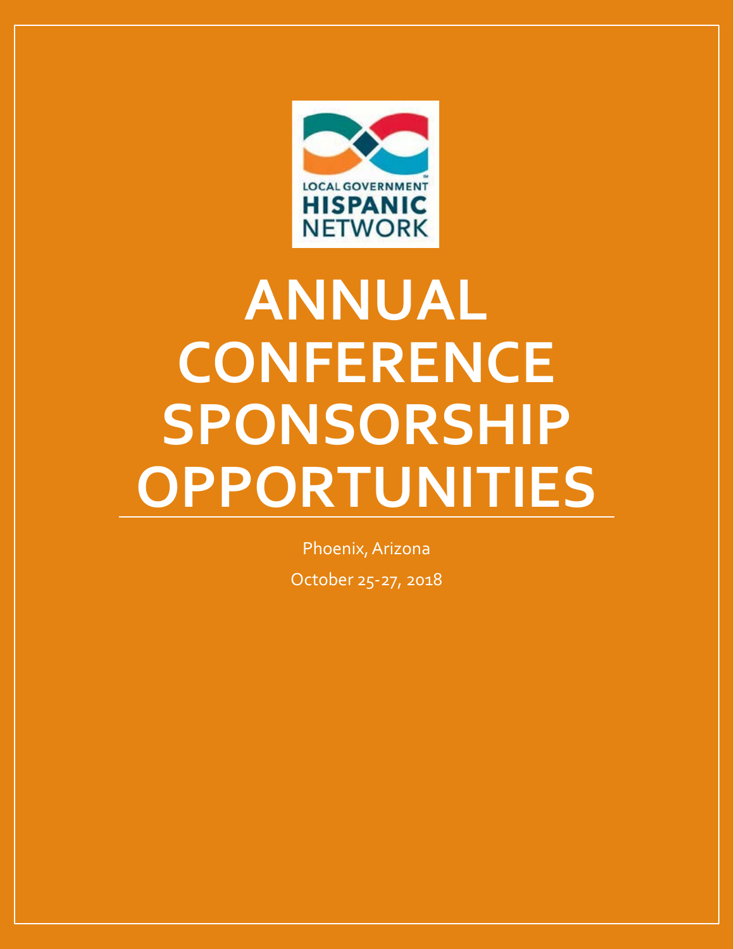

# **ANNUAL CONFERENCE SPONSORSHIP OPPORTUNITIES**

Phoenix, Arizona October 25-27, 2018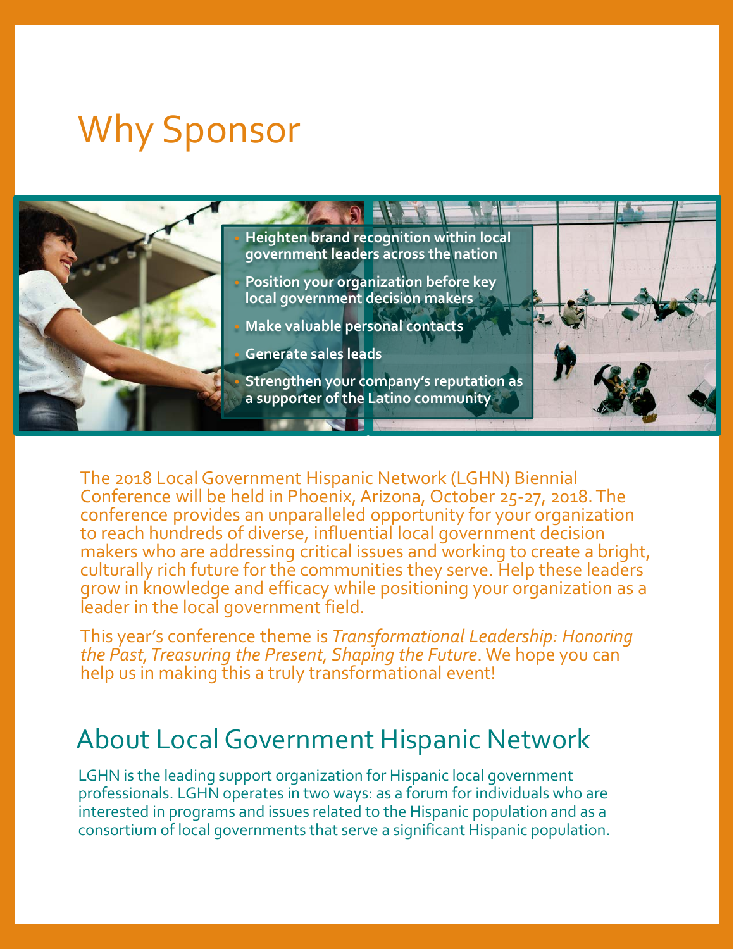# Why Sponsor



The 2018 Local Government Hispanic Network (LGHN) Biennial Conference will be held in Phoenix, Arizona, October 25-27, 2018. The conference provides an unparalleled opportunity for your organization to reach hundreds of diverse, influential local government decision makers who are addressing critical issues and working to create a bright, culturally rich future for the communities they serve. Help these leaders grow in knowledge and efficacy while positioning your organization as a leader in the local government field.

This year's conference theme is *Transformational Leadership: Honoring the Past, Treasuring the Present, Shaping the Future*. We hope you can help us in making this a truly transformational event!

# About Local Government Hispanic Network

LGHN is the leading support organization for Hispanic local government professionals. LGHN operates in two ways: as a forum for individuals who are interested in programs and issues related to the Hispanic population and as a consortium of local governments that serve a significant Hispanic population.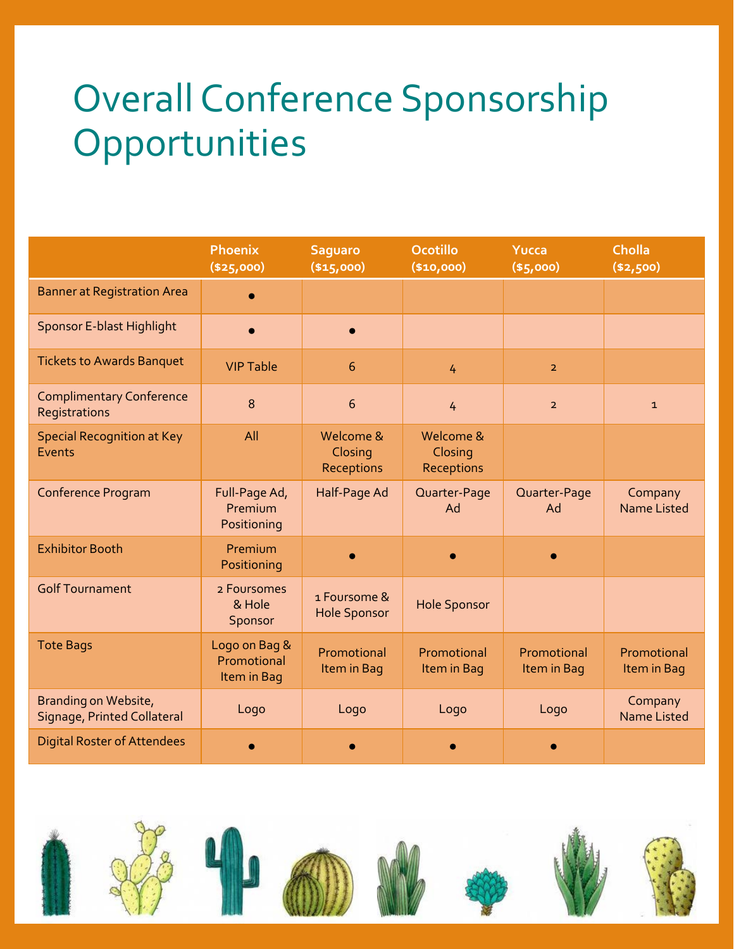# Overall Conference Sponsorship **Opportunities**

|                                                     | Phoenix<br>( \$25,000)                      | <b>Saguaro</b><br>( \$15,000)       | <b>Ocotillo</b><br>(\$10,000)      | Yucca<br>(\$5,000)         | <b>Cholla</b><br>( \$2,500)   |
|-----------------------------------------------------|---------------------------------------------|-------------------------------------|------------------------------------|----------------------------|-------------------------------|
| <b>Banner at Registration Area</b>                  |                                             |                                     |                                    |                            |                               |
| <b>Sponsor E-blast Highlight</b>                    |                                             |                                     |                                    |                            |                               |
| <b>Tickets to Awards Banquet</b>                    | <b>VIP Table</b>                            | 6                                   | 4                                  | $\overline{2}$             |                               |
| <b>Complimentary Conference</b><br>Registrations    | 8                                           | 6                                   | 4                                  | $\overline{2}$             | $\mathbf{1}$                  |
| <b>Special Recognition at Key</b><br>Events         | All                                         | Welcome &<br>Closing<br>Receptions  | Welcome &<br>Closing<br>Receptions |                            |                               |
| Conference Program                                  | Full-Page Ad,<br>Premium<br>Positioning     | Half-Page Ad                        | Quarter-Page<br>Ad                 | Quarter-Page<br>Ad         | Company<br><b>Name Listed</b> |
| <b>Exhibitor Booth</b>                              | Premium<br>Positioning                      |                                     |                                    |                            |                               |
| <b>Golf Tournament</b>                              | 2 Foursomes<br>& Hole<br>Sponsor            | 1 Foursome &<br><b>Hole Sponsor</b> | <b>Hole Sponsor</b>                |                            |                               |
| <b>Tote Bags</b>                                    | Logo on Bag &<br>Promotional<br>Item in Bag | Promotional<br>Item in Bag          | Promotional<br>Item in Bag         | Promotional<br>Item in Bag | Promotional<br>Item in Bag    |
| Branding on Website,<br>Signage, Printed Collateral | Logo                                        | Logo                                | Logo                               | Logo                       | Company<br><b>Name Listed</b> |
| <b>Digital Roster of Attendees</b>                  |                                             |                                     |                                    |                            |                               |

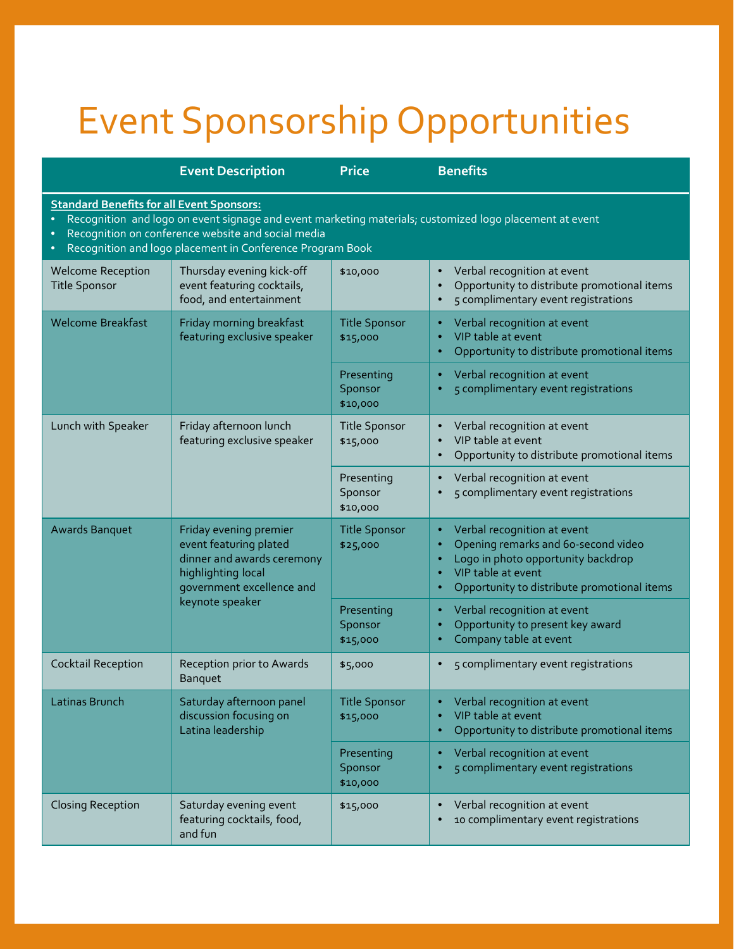# Event Sponsorship Opportunities

|                                                                                                                                                                                                                                                                                | <b>Event Description</b>                                                                                                          | <b>Price</b>                      | <b>Benefits</b>                                                                                                                                                               |  |  |  |  |
|--------------------------------------------------------------------------------------------------------------------------------------------------------------------------------------------------------------------------------------------------------------------------------|-----------------------------------------------------------------------------------------------------------------------------------|-----------------------------------|-------------------------------------------------------------------------------------------------------------------------------------------------------------------------------|--|--|--|--|
| <b>Standard Benefits for all Event Sponsors:</b><br>Recognition and logo on event signage and event marketing materials; customized logo placement at event<br>Recognition on conference website and social media<br>Recognition and logo placement in Conference Program Book |                                                                                                                                   |                                   |                                                                                                                                                                               |  |  |  |  |
| <b>Welcome Reception</b><br><b>Title Sponsor</b>                                                                                                                                                                                                                               | Thursday evening kick-off<br>event featuring cocktails,<br>food, and entertainment                                                | \$10,000                          | Verbal recognition at event<br>Opportunity to distribute promotional items<br>5 complimentary event registrations                                                             |  |  |  |  |
| <b>Welcome Breakfast</b>                                                                                                                                                                                                                                                       | Friday morning breakfast<br>featuring exclusive speaker                                                                           | <b>Title Sponsor</b><br>\$15,000  | Verbal recognition at event<br>VIP table at event<br>Opportunity to distribute promotional items                                                                              |  |  |  |  |
|                                                                                                                                                                                                                                                                                |                                                                                                                                   | Presenting<br>Sponsor<br>\$10,000 | Verbal recognition at event<br>5 complimentary event registrations                                                                                                            |  |  |  |  |
| Lunch with Speaker                                                                                                                                                                                                                                                             | Friday afternoon lunch<br>featuring exclusive speaker                                                                             | <b>Title Sponsor</b><br>\$15,000  | Verbal recognition at event<br>VIP table at event<br>Opportunity to distribute promotional items                                                                              |  |  |  |  |
|                                                                                                                                                                                                                                                                                |                                                                                                                                   | Presenting<br>Sponsor<br>\$10,000 | Verbal recognition at event<br>5 complimentary event registrations                                                                                                            |  |  |  |  |
| <b>Awards Banquet</b>                                                                                                                                                                                                                                                          | Friday evening premier<br>event featuring plated<br>dinner and awards ceremony<br>highlighting local<br>government excellence and | <b>Title Sponsor</b><br>\$25,000  | Verbal recognition at event<br>Opening remarks and 6o-second video<br>Logo in photo opportunity backdrop<br>VIP table at event<br>Opportunity to distribute promotional items |  |  |  |  |
|                                                                                                                                                                                                                                                                                | keynote speaker                                                                                                                   | Presenting<br>Sponsor<br>\$15,000 | Verbal recognition at event<br>Opportunity to present key award<br>Company table at event                                                                                     |  |  |  |  |
| <b>Cocktail Reception</b>                                                                                                                                                                                                                                                      | Reception prior to Awards<br>Banquet                                                                                              | \$5,000                           | 5 complimentary event registrations                                                                                                                                           |  |  |  |  |
| Latinas Brunch                                                                                                                                                                                                                                                                 | Saturday afternoon panel<br>discussion focusing on<br>Latina leadership                                                           | <b>Title Sponsor</b><br>\$15,000  | Verbal recognition at event<br>VIP table at event<br>Opportunity to distribute promotional items                                                                              |  |  |  |  |
|                                                                                                                                                                                                                                                                                |                                                                                                                                   | Presenting<br>Sponsor<br>\$10,000 | Verbal recognition at event<br>5 complimentary event registrations                                                                                                            |  |  |  |  |
| <b>Closing Reception</b>                                                                                                                                                                                                                                                       | Saturday evening event<br>featuring cocktails, food,<br>and fun                                                                   | \$15,000                          | Verbal recognition at event<br>10 complimentary event registrations                                                                                                           |  |  |  |  |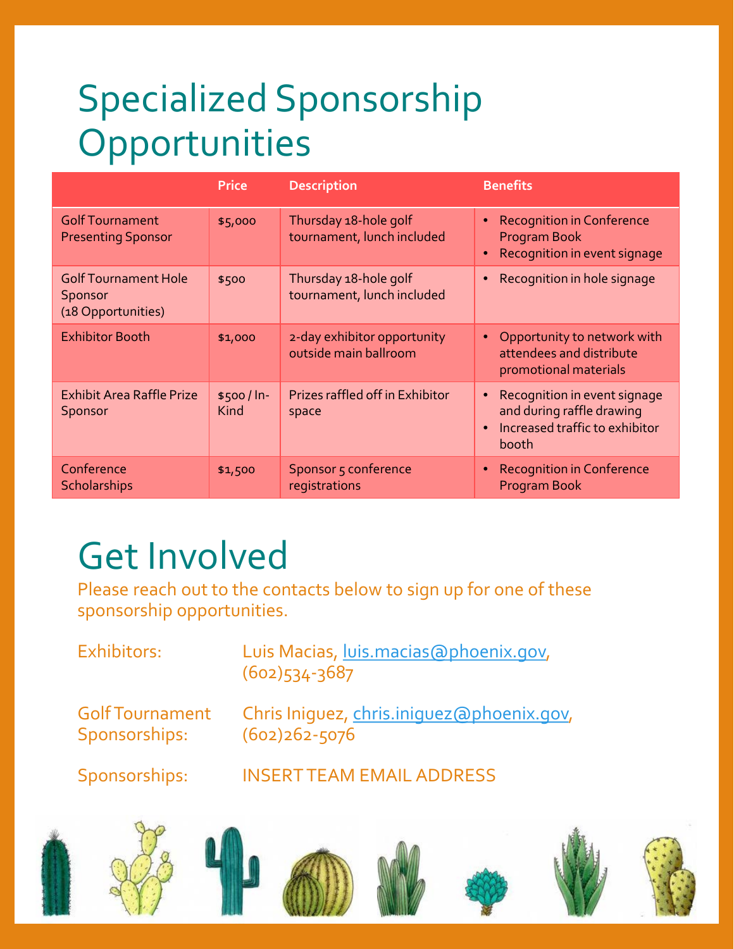# Specialized Sponsorship Opportunities

|                                                              | <b>Price</b>       | <b>Description</b>                                   | <b>Benefits</b>                                                                                                                |
|--------------------------------------------------------------|--------------------|------------------------------------------------------|--------------------------------------------------------------------------------------------------------------------------------|
| <b>Golf Tournament</b><br><b>Presenting Sponsor</b>          | \$5,000            | Thursday 18-hole golf<br>tournament, lunch included  | <b>Recognition in Conference</b><br>$\bullet$<br>Program Book<br>Recognition in event signage<br>$\bullet$                     |
| <b>Golf Tournament Hole</b><br>Sponsor<br>(18 Opportunities) | \$500              | Thursday 18-hole golf<br>tournament, lunch included  | Recognition in hole signage                                                                                                    |
| <b>Exhibitor Booth</b>                                       | \$1,000            | 2-day exhibitor opportunity<br>outside main ballroom | Opportunity to network with<br>$\bullet$<br>attendees and distribute<br>promotional materials                                  |
| <b>Exhibit Area Raffle Prize</b><br>Sponsor                  | $$500/ln-$<br>Kind | Prizes raffled off in Exhibitor<br>space             | Recognition in event signage<br>$\bullet$<br>and during raffle drawing<br>Increased traffic to exhibitor<br>$\bullet$<br>booth |
| Conference<br>Scholarships                                   | \$1,500            | Sponsor 5 conference<br>registrations                | <b>Recognition in Conference</b><br>Program Book                                                                               |

# Get Involved

Please reach out to the contacts below to sign up for one of these sponsorship opportunities.

| Exhibitors:                             | Luis Macias, luis.macias@phoenix.gov,<br>$(602)534 - 3687$     |
|-----------------------------------------|----------------------------------------------------------------|
| <b>Golf Tournament</b><br>Sponsorships: | Chris Iniquez, chris.iniquez@phoenix.gov,<br>$(602)262 - 5076$ |
| Sponsorships:                           | <b>INSERT TEAM EMAIL ADDRESS</b>                               |
|                                         |                                                                |

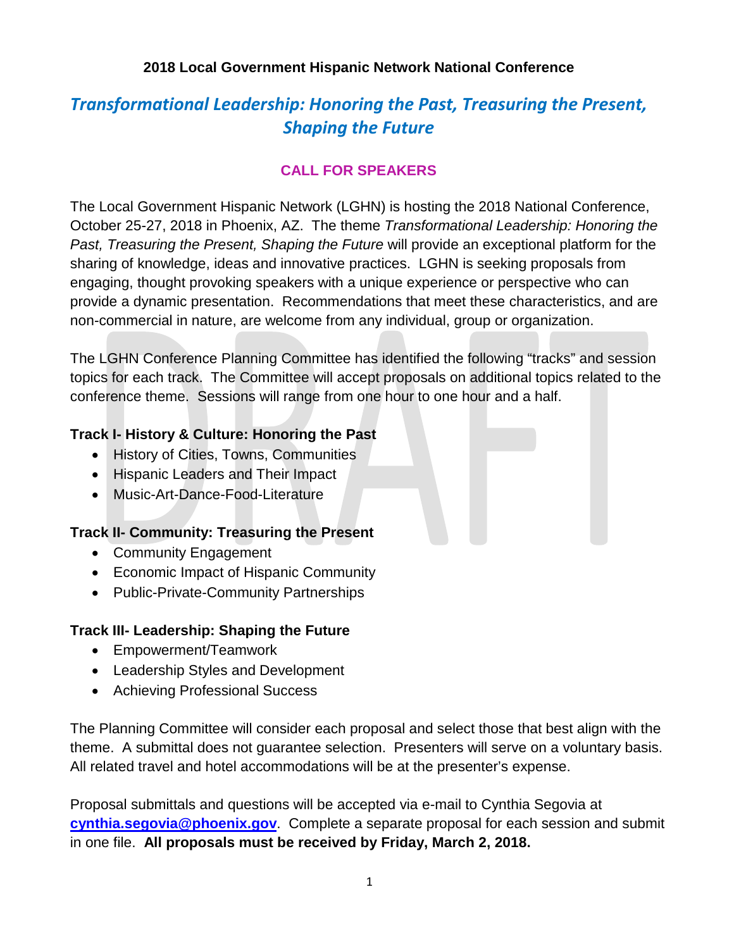# *Transformational Leadership: Honoring the Past, Treasuring the Present, Shaping the Future*

## **CALL FOR SPEAKERS**

The Local Government Hispanic Network (LGHN) is hosting the 2018 National Conference, October 25-27, 2018 in Phoenix, AZ. The theme *Transformational Leadership: Honoring the Past, Treasuring the Present, Shaping the Future* will provide an exceptional platform for the sharing of knowledge, ideas and innovative practices. LGHN is seeking proposals from engaging, thought provoking speakers with a unique experience or perspective who can provide a dynamic presentation. Recommendations that meet these characteristics, and are non-commercial in nature, are welcome from any individual, group or organization.

The LGHN Conference Planning Committee has identified the following "tracks" and session topics for each track. The Committee will accept proposals on additional topics related to the conference theme. Sessions will range from one hour to one hour and a half.

### **Track I- History & Culture: Honoring the Past**

- History of Cities, Towns, Communities
- Hispanic Leaders and Their Impact
- Music-Art-Dance-Food-Literature

### **Track II- Community: Treasuring the Present**

- Community Engagement
- Economic Impact of Hispanic Community
- Public-Private-Community Partnerships

### **Track III- Leadership: Shaping the Future**

- Empowerment/Teamwork
- Leadership Styles and Development
- Achieving Professional Success

The Planning Committee will consider each proposal and select those that best align with the theme. A submittal does not guarantee selection. Presenters will serve on a voluntary basis. All related travel and hotel accommodations will be at the presenter's expense.

Proposal submittals and questions will be accepted via e-mail to Cynthia Segovia at **[cynthia.segovia@phoenix.gov](mailto:cynthia.segovia@phoenix.gov)**. Complete a separate proposal for each session and submit in one file. **All proposals must be received by Friday, March 2, 2018.**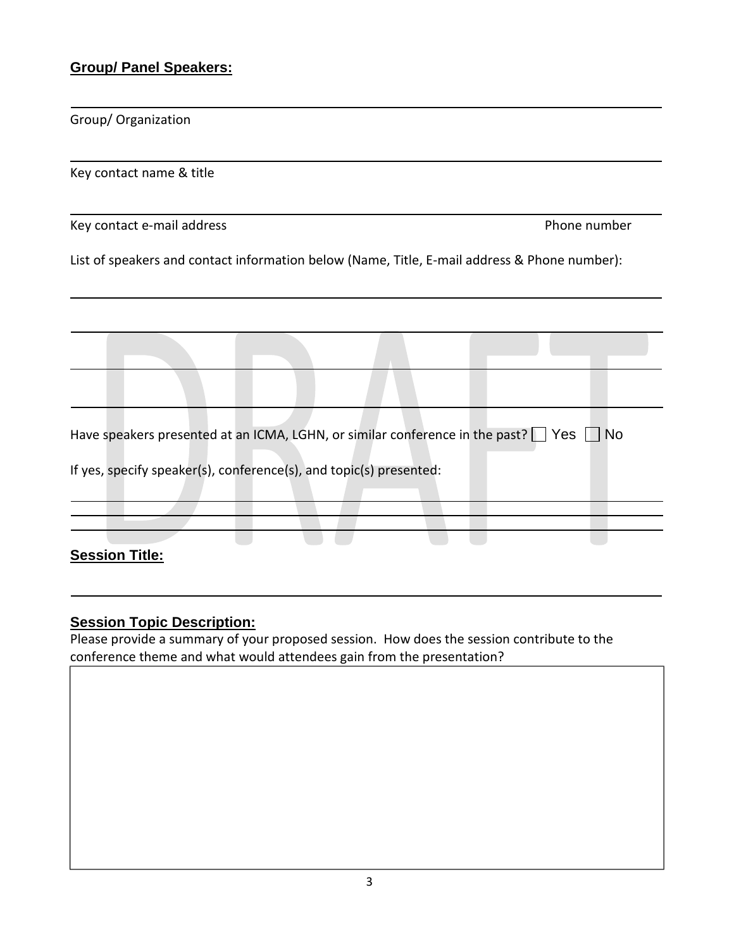### **Group/ Panel Speakers:**

Group/ Organization

Key contact name & title

Key contact e-mail address **Phone number** Phone number

List of speakers and contact information below (Name, Title, E-mail address & Phone number):

Have speakers presented at an ICMA, LGHN, or similar conference in the past?  $\Box$  Yes  $\Box$  No

If yes, specify speaker(s), conference(s), and topic(s) presented:

**Session Title:** 

#### **Session Topic Description:**

Please provide a summary of your proposed session. How does the session contribute to the conference theme and what would attendees gain from the presentation?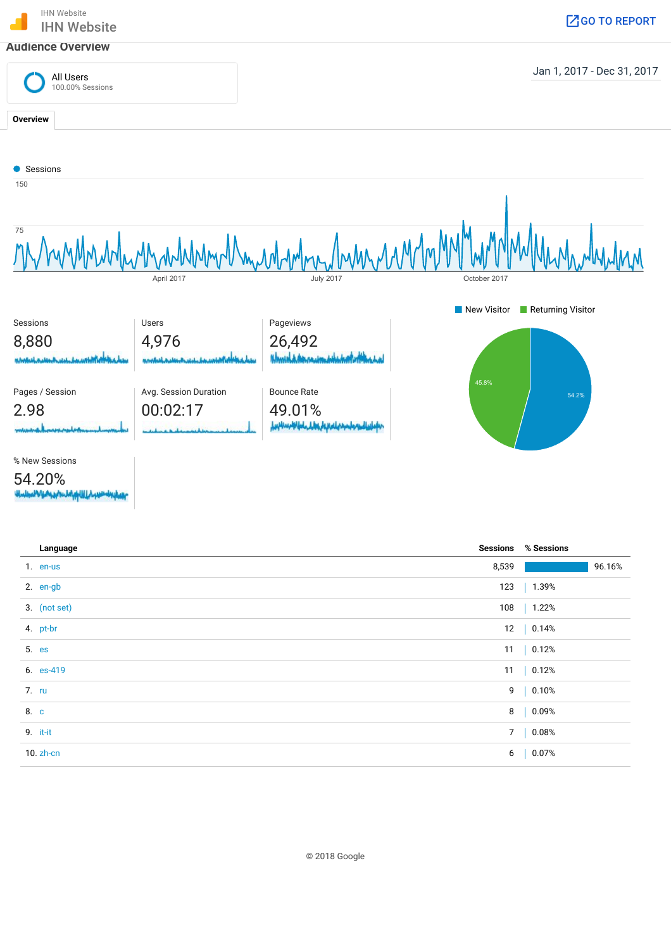

| Language     |          | <b>Sessions % Sessions</b> |
|--------------|----------|----------------------------|
| 1. en-us     | 8,539    | 96.16%                     |
| 2. en-gb     | 123      | 1.39%                      |
| 3. (not set) | 108      | 1.22%                      |
| 4. pt-br     |          | 12   0.14%                 |
| 5. es        |          | 11   0.12%                 |
| 6. es-419    |          | 11   0.12%                 |
| 7. ru        |          | 9   0.10%                  |
| 8. c         | 8        | 0.09%                      |
| 9. it-it     | $7 \mid$ | 0.08%                      |
| $10. zh$ -cn | 6        | 0.07%                      |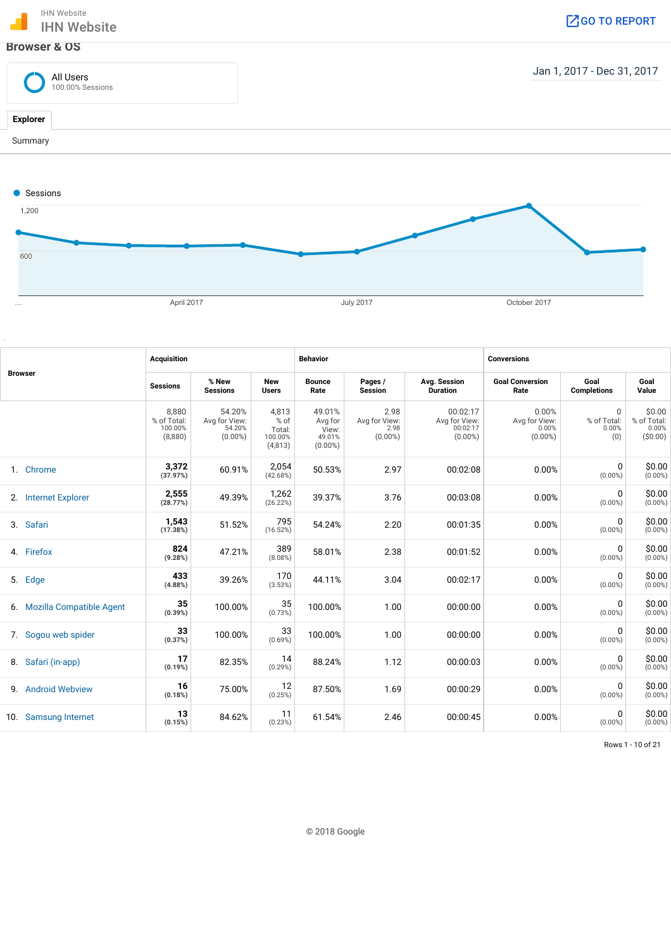



| <b>Browser</b> | <b>Acquisition</b>          |                                            |                                                 | <b>Behavior</b>                               |                                                    |                                             | <b>Conversions</b>                                  |                                               |                                         |                                             |
|----------------|-----------------------------|--------------------------------------------|-------------------------------------------------|-----------------------------------------------|----------------------------------------------------|---------------------------------------------|-----------------------------------------------------|-----------------------------------------------|-----------------------------------------|---------------------------------------------|
|                |                             | <b>Sessions</b>                            | % New<br><b>Sessions</b>                        | New<br><b>Users</b>                           | <b>Bounce</b><br>Rate                              | Pages /<br><b>Session</b>                   | Avg. Session<br><b>Duration</b>                     | <b>Goal Conversion</b><br>Rate                | Goal<br><b>Completions</b>              | Goal<br>Value                               |
|                |                             | 8,880<br>% of Total:<br>100.00%<br>(8,880) | 54.20%<br>Avg for View:<br>54.20%<br>$(0.00\%)$ | 4,813<br>% of<br>Total:<br>100.00%<br>(4,813) | 49.01%<br>Avg for<br>View:<br>49.01%<br>$(0.00\%)$ | 2.98<br>Avg for View:<br>2.98<br>$(0.00\%)$ | 00:02:17<br>Avg for View:<br>00:02:17<br>$(0.00\%)$ | 0.00%<br>Avg for View:<br>0.00%<br>$(0.00\%)$ | $\Omega$<br>% of Total:<br>0.00%<br>(0) | \$0.00<br>% of Total:<br>0.00%<br>( \$0.00) |
|                | 1. Chrome                   | 3,372<br>(37.97%)                          | 60.91%                                          | 2,054<br>(42.68%)                             | 50.53%                                             | 2.97                                        | 00:02:08                                            | 0.00%                                         | 0<br>$(0.00\%)$                         | \$0.00<br>$(0.00\%)$                        |
|                | 2. Internet Explorer        | 2,555<br>(28.77%)                          | 49.39%                                          | 1,262<br>(26.22%)                             | 39.37%                                             | 3.76                                        | 00:03:08                                            | 0.00%                                         | $\Omega$<br>$(0.00\%)$                  | \$0.00<br>$(0.00\%)$                        |
|                | 3. Safari                   | 1,543<br>(17.38%)                          | 51.52%                                          | 795<br>(16.52%)                               | 54.24%                                             | 2.20                                        | 00:01:35                                            | 0.00%                                         | $\mathbf 0$<br>$(0.00\%)$               | \$0.00<br>$(0.00\%)$                        |
|                | 4. Firefox                  | 824<br>(9.28%)                             | 47.21%                                          | 389<br>(8.08%)                                | 58.01%                                             | 2.38                                        | 00:01:52                                            | 0.00%                                         | $\Omega$<br>$(0.00\%)$                  | \$0.00<br>$(0.00\%)$                        |
|                | 5. Edge                     | 433<br>(4.88%)                             | 39.26%                                          | 170<br>(3.53%)                                | 44.11%                                             | 3.04                                        | 00:02:17                                            | 0.00%                                         | 0<br>$(0.00\%)$                         | \$0.00<br>$(0.00\%)$                        |
|                | 6. Mozilla Compatible Agent | 35<br>(0.39%)                              | 100.00%                                         | 35<br>(0.73%)                                 | 100.00%                                            | 1.00                                        | 00:00:00                                            | 0.00%                                         | 0<br>$(0.00\%)$                         | \$0.00<br>$(0.00\%)$                        |
|                | 7. Sogou web spider         | 33<br>(0.37%)                              | 100.00%                                         | 33<br>$(0.69\%)$                              | 100.00%                                            | 1.00                                        | 00:00:00                                            | 0.00%                                         | 0<br>$(0.00\%)$                         | \$0.00<br>$(0.00\%)$                        |
|                | 8. Safari (in-app)          | 17<br>(0.19%)                              | 82.35%                                          | 14<br>(0.29%)                                 | 88.24%                                             | 1.12                                        | 00:00:03                                            | 0.00%                                         | $\mathbf 0$<br>$(0.00\%)$               | \$0.00<br>$(0.00\%)$                        |
|                | 9. Android Webview          | 16<br>(0.18%)                              | 75.00%                                          | 12<br>(0.25%)                                 | 87.50%                                             | 1.69                                        | 00:00:29                                            | 0.00%                                         | $\Omega$<br>$(0.00\%)$                  | \$0.00<br>$(0.00\%)$                        |
| 10.            | <b>Samsung Internet</b>     | 13<br>(0.15%)                              | 84.62%                                          | 11<br>(0.23%)                                 | 61.54%                                             | 2.46                                        | 00:00:45                                            | 0.00%                                         | 0<br>$(0.00\%)$                         | \$0.00<br>$(0.00\%)$                        |
|                |                             |                                            |                                                 |                                               |                                                    |                                             |                                                     |                                               |                                         |                                             |

Rows 1 - 10 of 21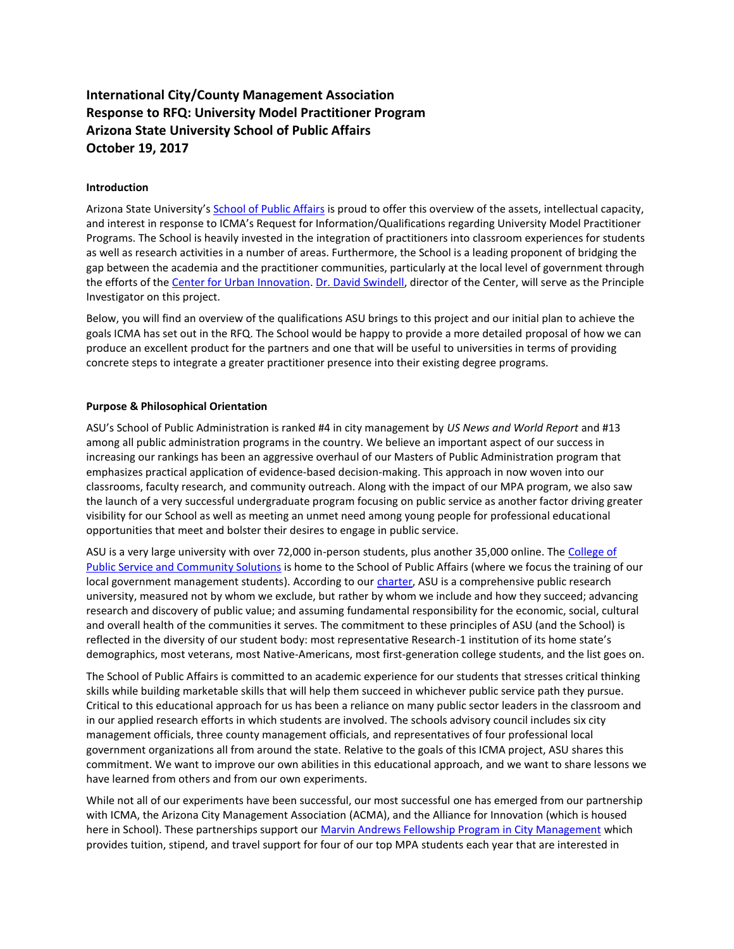#### **International City/County Management Association Response to RFQ: University Model Practitioner Program Arizona State University School of Public Affairs October 19, 2017**

#### **Introduction**

Arizona State University's [School of Public Affairs](https://spa.asu.edu/) is proud to offer this overview of the assets, intellectual capacity, and interest in response to ICMA's Request for Information/Qualifications regarding University Model Practitioner Programs. The School is heavily invested in the integration of practitioners into classroom experiences for students as well as research activities in a number of areas. Furthermore, the School is a leading proponent of bridging the gap between the academia and the practitioner communities, particularly at the local level of government through the efforts of th[e Center for Urban Innovation.](https://urbaninnovation.asu.edu/) [Dr. David Swindell,](https://spa.asu.edu/content/david-swindell) director of the Center, will serve as the Principle Investigator on this project.

Below, you will find an overview of the qualifications ASU brings to this project and our initial plan to achieve the goals ICMA has set out in the RFQ. The School would be happy to provide a more detailed proposal of how we can produce an excellent product for the partners and one that will be useful to universities in terms of providing concrete steps to integrate a greater practitioner presence into their existing degree programs.

#### **Purpose & Philosophical Orientation**

ASU's School of Public Administration is ranked #4 in city management by *US News and World Report* and #13 among all public administration programs in the country. We believe an important aspect of our success in increasing our rankings has been an aggressive overhaul of our Masters of Public Administration program that emphasizes practical application of evidence-based decision-making. This approach in now woven into our classrooms, faculty research, and community outreach. Along with the impact of our MPA program, we also saw the launch of a very successful undergraduate program focusing on public service as another factor driving greater visibility for our School as well as meeting an unmet need among young people for professional educational opportunities that meet and bolster their desires to engage in public service.

ASU is a very large university with over 72,000 in-person students, plus another 35,000 online. The College of [Public Service and Community Solutions](https://publicservice.asu.edu/) is home to the School of Public Affairs (where we focus the training of our local government management students). According to ou[r charter,](https://spa.asu.edu/content/about) ASU is a comprehensive public research university, measured not by whom we exclude, but rather by whom we include and how they succeed; advancing research and discovery of public value; and assuming fundamental responsibility for the economic, social, cultural and overall health of the communities it serves. The commitment to these principles of ASU (and the School) is reflected in the diversity of our student body: most representative Research-1 institution of its home state's demographics, most veterans, most Native-Americans, most first-generation college students, and the list goes on.

The School of Public Affairs is committed to an academic experience for our students that stresses critical thinking skills while building marketable skills that will help them succeed in whichever public service path they pursue. Critical to this educational approach for us has been a reliance on many public sector leaders in the classroom and in our applied research efforts in which students are involved. The schools advisory council includes six city management officials, three county management officials, and representatives of four professional local government organizations all from around the state. Relative to the goals of this ICMA project, ASU shares this commitment. We want to improve our own abilities in this educational approach, and we want to share lessons we have learned from others and from our own experiments.

While not all of our experiments have been successful, our most successful one has emerged from our partnership with ICMA, the Arizona City Management Association (ACMA), and the Alliance for Innovation (which is housed here in School). These partnerships support ou[r Marvin Andrews Fellowship Program in City Management w](https://spa.asu.edu/content/meet-marvins-fellows)hich provides tuition, stipend, and travel support for four of our top MPA students each year that are interested in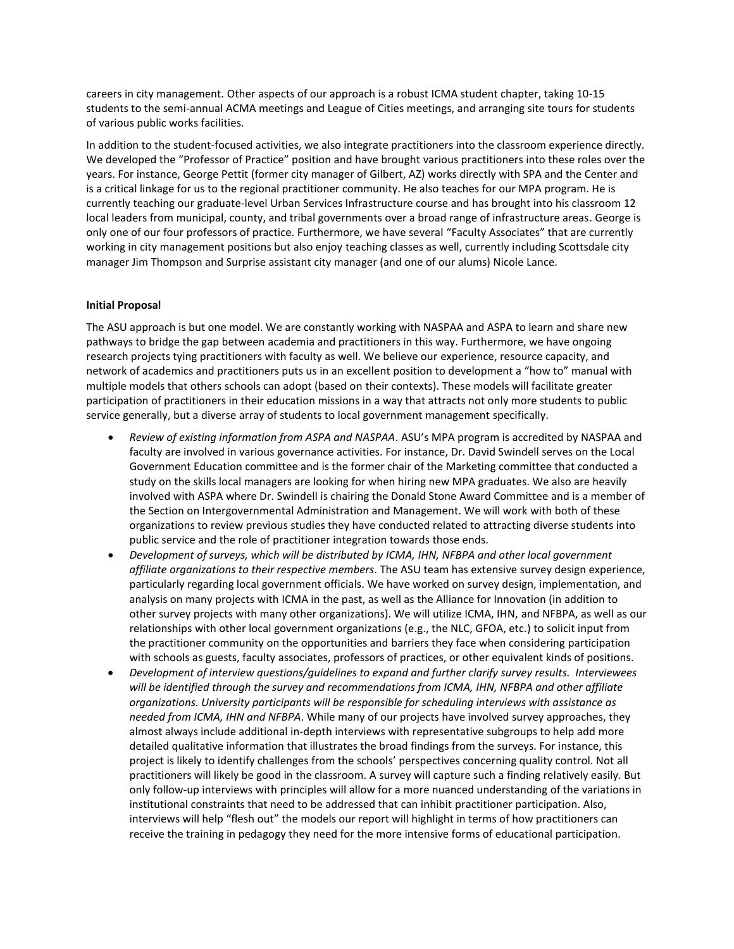careers in city management. Other aspects of our approach is a robust ICMA student chapter, taking 10-15 students to the semi-annual ACMA meetings and League of Cities meetings, and arranging site tours for students of various public works facilities.

In addition to the student-focused activities, we also integrate practitioners into the classroom experience directly. We developed the "Professor of Practice" position and have brought various practitioners into these roles over the years. For instance, George Pettit (former city manager of Gilbert, AZ) works directly with SPA and the Center and is a critical linkage for us to the regional practitioner community. He also teaches for our MPA program. He is currently teaching our graduate-level Urban Services Infrastructure course and has brought into his classroom 12 local leaders from municipal, county, and tribal governments over a broad range of infrastructure areas. George is only one of our four professors of practice. Furthermore, we have several "Faculty Associates" that are currently working in city management positions but also enjoy teaching classes as well, currently including Scottsdale city manager Jim Thompson and Surprise assistant city manager (and one of our alums) Nicole Lance.

#### **Initial Proposal**

The ASU approach is but one model. We are constantly working with NASPAA and ASPA to learn and share new pathways to bridge the gap between academia and practitioners in this way. Furthermore, we have ongoing research projects tying practitioners with faculty as well. We believe our experience, resource capacity, and network of academics and practitioners puts us in an excellent position to development a "how to" manual with multiple models that others schools can adopt (based on their contexts). These models will facilitate greater participation of practitioners in their education missions in a way that attracts not only more students to public service generally, but a diverse array of students to local government management specifically.

- x *Review of existing information from ASPA and NASPAA*. ASU's MPA program is accredited by NASPAA and faculty are involved in various governance activities. For instance, Dr. David Swindell serves on the Local Government Education committee and is the former chair of the Marketing committee that conducted a study on the skills local managers are looking for when hiring new MPA graduates. We also are heavily involved with ASPA where Dr. Swindell is chairing the Donald Stone Award Committee and is a member of the Section on Intergovernmental Administration and Management. We will work with both of these organizations to review previous studies they have conducted related to attracting diverse students into public service and the role of practitioner integration towards those ends.
- x *Development of surveys, which will be distributed by ICMA, IHN, NFBPA and other local government affiliate organizations to their respective members*. The ASU team has extensive survey design experience, particularly regarding local government officials. We have worked on survey design, implementation, and analysis on many projects with ICMA in the past, as well as the Alliance for Innovation (in addition to other survey projects with many other organizations). We will utilize ICMA, IHN, and NFBPA, as well as our relationships with other local government organizations (e.g., the NLC, GFOA, etc.) to solicit input from the practitioner community on the opportunities and barriers they face when considering participation with schools as guests, faculty associates, professors of practices, or other equivalent kinds of positions.
- x *Development of interview questions/guidelines to expand and further clarify survey results. Interviewees will be identified through the survey and recommendations from ICMA, IHN, NFBPA and other affiliate organizations. University participants will be responsible for scheduling interviews with assistance as needed from ICMA, IHN and NFBPA*. While many of our projects have involved survey approaches, they almost always include additional in-depth interviews with representative subgroups to help add more detailed qualitative information that illustrates the broad findings from the surveys. For instance, this project is likely to identify challenges from the schools' perspectives concerning quality control. Not all practitioners will likely be good in the classroom. A survey will capture such a finding relatively easily. But only follow-up interviews with principles will allow for a more nuanced understanding of the variations in institutional constraints that need to be addressed that can inhibit practitioner participation. Also, interviews will help "flesh out" the models our report will highlight in terms of how practitioners can receive the training in pedagogy they need for the more intensive forms of educational participation.